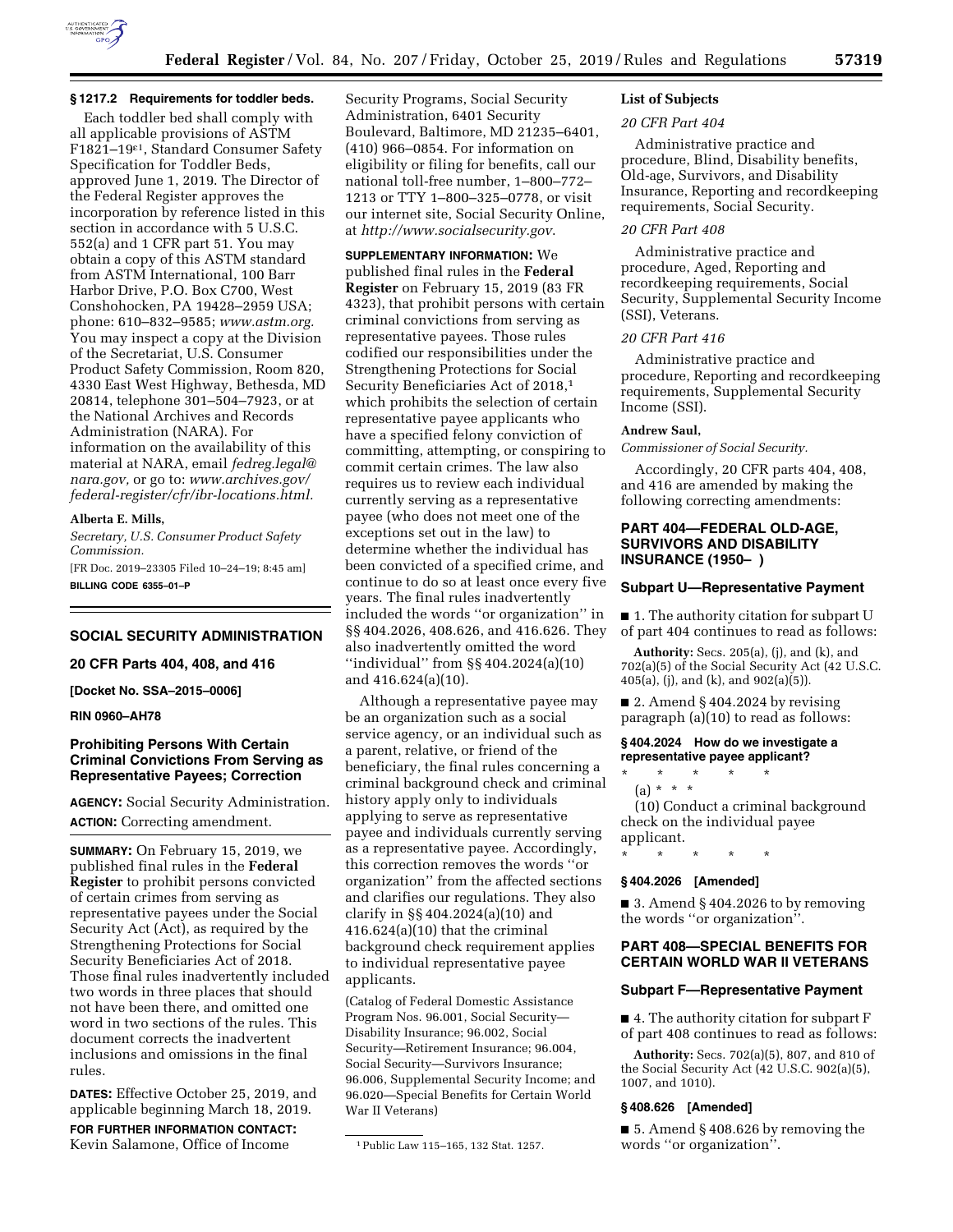

# **§ 1217.2 Requirements for toddler beds.**

Each toddler bed shall comply with all applicable provisions of ASTM F1821–19ε1, Standard Consumer Safety Specification for Toddler Beds, approved June 1, 2019. The Director of the Federal Register approves the incorporation by reference listed in this section in accordance with 5 U.S.C. 552(a) and 1 CFR part 51. You may obtain a copy of this ASTM standard from ASTM International, 100 Barr Harbor Drive, P.O. Box C700, West Conshohocken, PA 19428–2959 USA; phone: 610–832–9585; *[www.astm.org.](http://www.astm.org)*  You may inspect a copy at the Division of the Secretariat, U.S. Consumer Product Safety Commission, Room 820, 4330 East West Highway, Bethesda, MD 20814, telephone 301–504–7923, or at the National Archives and Records Administration (NARA). For information on the availability of this material at NARA, email *[fedreg.legal@](mailto:fedreg.legal@nara.gov) [nara.gov,](mailto:fedreg.legal@nara.gov)* or go to: *[www.archives.gov/](http://www.archives.gov/federal-register/cfr/ibr-locations.html) [federal-register/cfr/ibr-locations.html.](http://www.archives.gov/federal-register/cfr/ibr-locations.html)* 

**Alberta E. Mills,** 

*Secretary, U.S. Consumer Product Safety Commission.* 

[FR Doc. 2019–23305 Filed 10–24–19; 8:45 am] **BILLING CODE 6355–01–P** 

#### **SOCIAL SECURITY ADMINISTRATION**

#### **20 CFR Parts 404, 408, and 416**

**[Docket No. SSA–2015–0006]** 

#### **RIN 0960–AH78**

### **Prohibiting Persons With Certain Criminal Convictions From Serving as Representative Payees; Correction**

**AGENCY:** Social Security Administration. **ACTION:** Correcting amendment.

**SUMMARY:** On February 15, 2019, we published final rules in the **Federal Register** to prohibit persons convicted of certain crimes from serving as representative payees under the Social Security Act (Act), as required by the Strengthening Protections for Social Security Beneficiaries Act of 2018. Those final rules inadvertently included two words in three places that should not have been there, and omitted one word in two sections of the rules. This document corrects the inadvertent inclusions and omissions in the final rules.

**DATES:** Effective October 25, 2019, and applicable beginning March 18, 2019.

**FOR FURTHER INFORMATION CONTACT:**  Kevin Salamone, Office of Income

Security Programs, Social Security Administration, 6401 Security Boulevard, Baltimore, MD 21235–6401, (410) 966–0854. For information on eligibility or filing for benefits, call our national toll-free number, 1–800–772– 1213 or TTY 1–800–325–0778, or visit our internet site, Social Security Online, at *<http://www.socialsecurity.gov>*.

### **SUPPLEMENTARY INFORMATION:** We

published final rules in the **Federal Register** on February 15, 2019 (83 FR 4323), that prohibit persons with certain criminal convictions from serving as representative payees. Those rules codified our responsibilities under the Strengthening Protections for Social Security Beneficiaries Act of 2018,1 which prohibits the selection of certain representative payee applicants who have a specified felony conviction of committing, attempting, or conspiring to commit certain crimes. The law also requires us to review each individual currently serving as a representative payee (who does not meet one of the exceptions set out in the law) to determine whether the individual has been convicted of a specified crime, and continue to do so at least once every five years. The final rules inadvertently included the words ''or organization'' in §§ 404.2026, 408.626, and 416.626. They also inadvertently omitted the word ''individual'' from §§ 404.2024(a)(10) and 416.624(a)(10).

Although a representative payee may be an organization such as a social service agency, or an individual such as a parent, relative, or friend of the beneficiary, the final rules concerning a criminal background check and criminal history apply only to individuals applying to serve as representative payee and individuals currently serving as a representative payee. Accordingly, this correction removes the words ''or organization'' from the affected sections and clarifies our regulations. They also clarify in §§ 404.2024(a)(10) and 416.624(a)(10) that the criminal background check requirement applies to individual representative payee applicants.

(Catalog of Federal Domestic Assistance Program Nos. 96.001, Social Security— Disability Insurance; 96.002, Social Security—Retirement Insurance; 96.004, Social Security—Survivors Insurance; 96.006, Supplemental Security Income; and 96.020—Special Benefits for Certain World War II Veterans)

# **List of Subjects**

#### *20 CFR Part 404*

Administrative practice and procedure, Blind, Disability benefits, Old-age, Survivors, and Disability Insurance, Reporting and recordkeeping requirements, Social Security.

# *20 CFR Part 408*

Administrative practice and procedure, Aged, Reporting and recordkeeping requirements, Social Security, Supplemental Security Income (SSI), Veterans.

#### *20 CFR Part 416*

Administrative practice and procedure, Reporting and recordkeeping requirements, Supplemental Security Income (SSI).

#### **Andrew Saul,**

*Commissioner of Social Security.* 

Accordingly, 20 CFR parts 404, 408, and 416 are amended by making the following correcting amendments:

### **PART 404—FEDERAL OLD-AGE, SURVIVORS AND DISABILITY INSURANCE (1950– )**

### **Subpart U—Representative Payment**

■ 1. The authority citation for subpart U of part 404 continues to read as follows:

**Authority:** Secs. 205(a), (j), and (k), and 702(a)(5) of the Social Security Act (42 U.S.C. 405(a), (j), and (k), and 902(a)(5)).

■ 2. Amend § 404.2024 by revising paragraph (a)(10) to read as follows:

### **§ 404.2024 How do we investigate a representative payee applicant?**

\* \* \* \* \* (a) \* \* \*

(10) Conduct a criminal background check on the individual payee applicant.

\* \* \* \* \*

### **§ 404.2026 [Amended]**

 $\blacksquare$  3. Amend § 404.2026 to by removing the words ''or organization''.

### **PART 408—SPECIAL BENEFITS FOR CERTAIN WORLD WAR II VETERANS**

### **Subpart F—Representative Payment**

■ 4. The authority citation for subpart F of part 408 continues to read as follows:

**Authority:** Secs. 702(a)(5), 807, and 810 of the Social Security Act (42 U.S.C. 902(a)(5), 1007, and 1010).

#### **§ 408.626 [Amended]**

■ 5. Amend § 408.626 by removing the words ''or organization''.

<sup>1</sup>Public Law 115–165, 132 Stat. 1257.